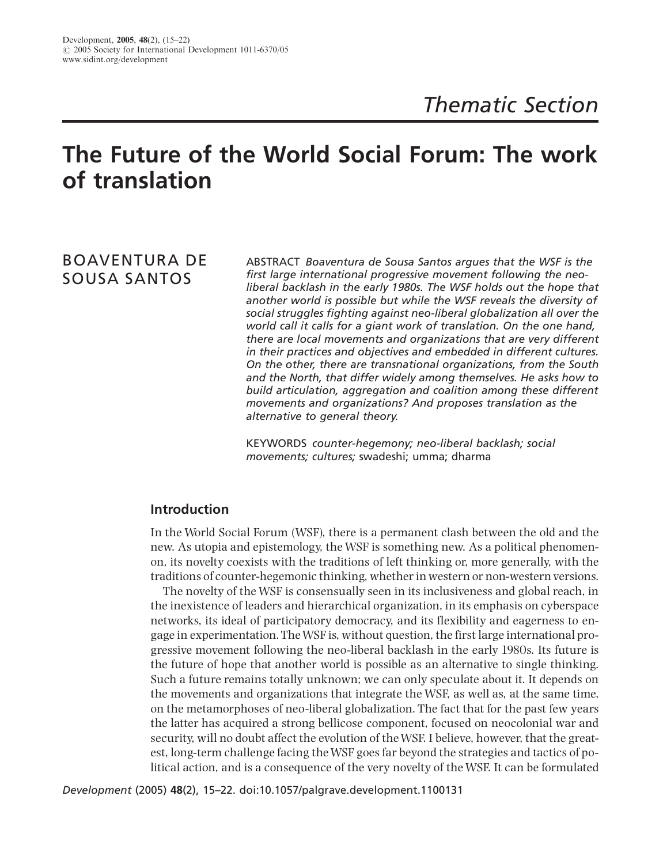# The Future of the World Social Forum: The work of translation

# BOAVENTURA DE SOUSA SANTOS

ABSTRACT Boaventura de Sousa Santos argues that the WSF is the first large international progressive movement following the neoliberal backlash in the early 1980s. The WSF holds out the hope that another world is possible but while the WSF reveals the diversity of social struggles fighting against neo-liberal globalization all over the world call it calls for a giant work of translation. On the one hand, there are local movements and organizations that are very different in their practices and objectives and embedded in different cultures. On the other, there are transnational organizations, from the South and the North, that differ widely among themselves. He asks how to build articulation, aggregation and coalition among these different movements and organizations? And proposes translation as the alternative to general theory.

KEYWORDS counter-hegemony; neo-liberal backlash; social movements; cultures; swadeshi; umma; dharma

#### Introduction

In the World Social Forum (WSF), there is a permanent clash between the old and the new. As utopia and epistemology, the WSF is something new. As a political phenomenon, its novelty coexists with the traditions of left thinking or, more generally, with the traditions ofcounter-hegemonic thinking, whether in western or non-western versions.

The novelty of the WSF is consensually seen in its inclusiveness and global reach, in the inexistence ofleaders and hierarchical organization, in its emphasis on cyberspace networks, its ideal of participatory democracy, and its flexibility and eagerness to engage in experimentation. TheWSF is, without question, the first large international progressive movement following the neo-liberal backlash in the early 1980s. Its future is the future of hope that another world is possible as an alternative to single thinking. Such a future remains totally unknown; we can only speculate about it. It depends on the movements and organizations that integrate the WSF, as well as, at the same time, on the metamorphoses of neo-liberal globalization. The fact that for the past few years the latter has acquired a strong bellicose component, focused on neocolonial war and security, will no doubt affect the evolution of theWSF. I believe, however, that the greatest, long-term challenge facing theWSF goes far beyond the strategies and tactics of political action, and is a consequence of the very novelty of the WSF. It can be formulated

Development (2005) 48(2), 15–22. doi:10.1057/palgrave.development.1100131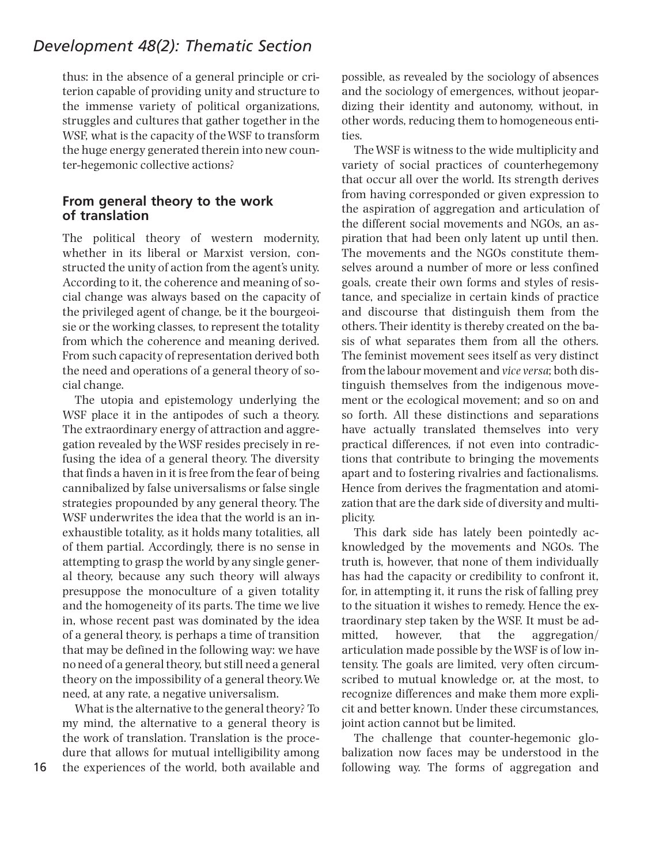thus: in the absence of a general principle or criterion capable of providing unity and structure to the immense variety of political organizations, struggles and cultures that gather together in the WSF, what is the capacity of the WSF to transform the huge energy generated therein into new counter-hegemonic collective actions?

### From general theory to the work of translation

The political theory of western modernity, whether in its liberal or Marxist version, constructed the unity of action from the agent's unity. According to it, the coherence and meaning of social change was always based on the capacity of the privileged agent of change, be it the bourgeoisie or the working classes, to represent the totality from which the coherence and meaning derived. From such capacity of representation derived both the need and operations of a general theory of social change.

The utopia and epistemology underlying the WSF place it in the antipodes of such a theory. The extraordinary energy of attraction and aggregation revealed by theWSF resides precisely in refusing the idea of a general theory. The diversity that finds a haven in it is free from the fear of being cannibalized by false universalisms or false single strategies propounded by any general theory. The WSF underwrites the idea that the world is an inexhaustible totality, as it holds many totalities, all of them partial. Accordingly, there is no sense in attempting to grasp the world by any single general theory, because any such theory will always presuppose the monoculture of a given totality and the homogeneity of its parts. The time we live in, whose recent past was dominated by the idea of a general theory, is perhaps a time of transition that may be defined in the following way: we have no need ofa general theory, but still need a general theory on the impossibility of a general theory. We need, at any rate, a negative universalism.

What is the alternative to the general theory? To my mind, the alternative to a general theory is the work of translation. Translation is the procedure that allows for mutual intelligibility among the experiences of the world, both available and

16

possible, as revealed by the sociology of absences and the sociology of emergences, without jeopardizing their identity and autonomy, without, in other words, reducing them to homogeneous entities.

TheWSF is witness to the wide multiplicity and variety of social practices of counterhegemony that occur all over the world. Its strength derives from having corresponded or given expression to the aspiration of aggregation and articulation of the different social movements and NGOs, an aspiration that had been only latent up until then. The movements and the NGOs constitute themselves around a number of more or less confined goals, create their own forms and styles of resistance, and specialize in certain kinds of practice and discourse that distinguish them from the others. Their identity is thereby created on the basis of what separates them from all the others. The feminist movement sees itself as very distinct from the labour movement and vice versa; both distinguish themselves from the indigenous movement or the ecological movement; and so on and so forth. All these distinctions and separations have actually translated themselves into very practical differences, if not even into contradictions that contribute to bringing the movements apart and to fostering rivalries and factionalisms. Hence from derives the fragmentation and atomization that are the dark side of diversity and multiplicity.

This dark side has lately been pointedly acknowledged by the movements and NGOs. The truth is, however, that none of them individually has had the capacity or credibility to confront it, for, in attempting it, it runs the risk of falling prey to the situation it wishes to remedy. Hence the extraordinary step taken by the WSF. It must be admitted, however, that the aggregation/ articulation made possible by the WSF is of low intensity. The goals are limited, very often circumscribed to mutual knowledge or, at the most, to recognize differences and make them more explicit and better known. Under these circumstances, joint action cannot but be limited.

The challenge that counter-hegemonic globalization now faces may be understood in the following way. The forms of aggregation and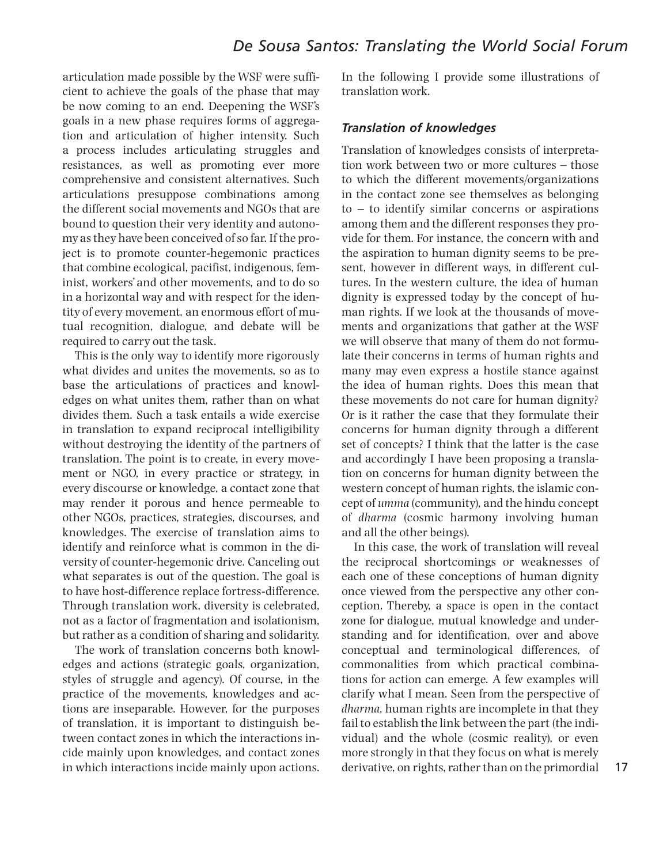articulation made possible by the WSF were sufficient to achieve the goals of the phase that may be now coming to an end. Deepening the WSF's goals in a new phase requires forms of aggregation and articulation of higher intensity. Such a process includes articulating struggles and resistances, as well as promoting ever more comprehensive and consistent alternatives. Such articulations presuppose combinations among the different social movements and NGOs that are bound to question their very identity and autonomy as they have been conceived of so far. If the project is to promote counter-hegemonic practices that combine ecological, pacifist, indigenous, feminist, workers'and other movements, and to do so in a horizontal way and with respect for the identity of every movement, an enormous effort of mutual recognition, dialogue, and debate will be required to carry out the task.

This is the only way to identify more rigorously what divides and unites the movements, so as to base the articulations of practices and knowledges on what unites them, rather than on what divides them. Such a task entails a wide exercise in translation to expand reciprocal intelligibility without destroying the identity of the partners of translation. The point is to create, in every movement or NGO, in every practice or strategy, in every discourse or knowledge, a contact zone that may render it porous and hence permeable to other NGOs, practices, strategies, discourses, and knowledges. The exercise of translation aims to identify and reinforce what is common in the diversity of counter-hegemonic drive. Canceling out what separates is out of the question. The goal is to have host-difference replace fortress-difference. Through translation work, diversity is celebrated, not as a factor of fragmentation and isolationism, but rather as a condition of sharing and solidarity.

The work of translation concerns both knowledges and actions (strategic goals, organization, styles of struggle and agency). Of course, in the practice of the movements, knowledges and actions are inseparable. However, for the purposes of translation, it is important to distinguish between contact zones in which the interactions incide mainly upon knowledges, and contact zones in which interactions incide mainly upon actions.

In the following I provide some illustrations of translation work.

#### Translation of knowledges

Translation of knowledges consists of interpretation work between two or more cultures  $=$  those to which the different movements/organizations in the contact zone see themselves as belonging  $to -to$  identify similar concerns or aspirations among them and the different responses they provide for them. For instance, the concern with and the aspiration to human dignity seems to be present, however in different ways, in different cultures. In the western culture, the idea of human dignity is expressed today by the concept of human rights. If we look at the thousands of movements and organizations that gather at the WSF we will observe that many of them do not formulate their concerns in terms of human rights and many may even express a hostile stance against the idea of human rights. Does this mean that these movements do not care for human dignity? Or is it rather the case that they formulate their concerns for human dignity through a different set of concepts? I think that the latter is the case and accordingly I have been proposing a translation on concerns for human dignity between the western concept of human rights, the islamic concept of umma (community), and the hindu concept of dharma (cosmic harmony involving human and all the other beings).

In this case, the work of translation will reveal the reciprocal shortcomings or weaknesses of each one of these conceptions of human dignity once viewed from the perspective any other conception. Thereby, a space is open in the contact zone for dialogue, mutual knowledge and understanding and for identification, over and above conceptual and terminological differences, of commonalities from which practical combinations for action can emerge. A few examples will clarify what I mean. Seen from the perspective of dharma, human rights are incomplete in that they fail to establish the link between the part (the individual) and the whole (cosmic reality), or even more strongly in that they focus on what is merely derivative, on rights, rather than on the primordial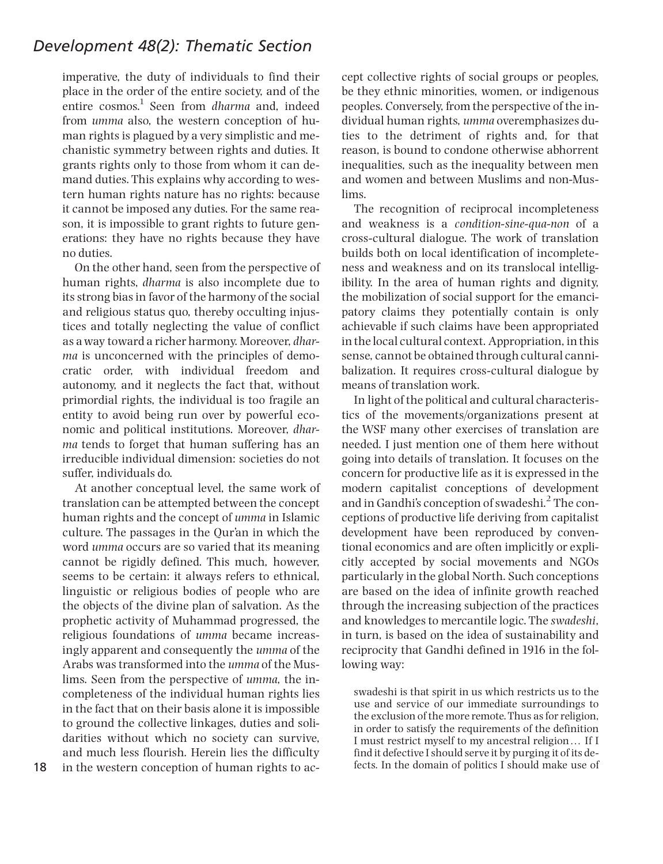imperative, the duty of individuals to find their place in the order of the entire society, and of the entire cosmos.<sup>1</sup> Seen from dharma and, indeed from *umma* also, the western conception of human rights is plagued by a very simplistic and mechanistic symmetry between rights and duties. It grants rights only to those from whom it can demand duties. This explains why according to western human rights nature has no rights: because it cannot be imposed any duties. For the same reason, it is impossible to grant rights to future generations: they have no rights because they have no duties.

On the other hand, seen from the perspective of human rights, dharma is also incomplete due to its strong bias in favor of the harmony of the social and religious status quo, thereby occulting injustices and totally neglecting the value of conflict as a way toward a richer harmony. Moreover, dharma is unconcerned with the principles of democratic order, with individual freedom and autonomy, and it neglects the fact that, without primordial rights, the individual is too fragile an entity to avoid being run over by powerful economic and political institutions. Moreover, dharma tends to forget that human suffering has an irreducible individual dimension: societies do not suffer, individuals do.

At another conceptual level, the same work of translation can be attempted between the concept human rights and the concept of umma in Islamic culture. The passages in the Qur'an in which the word umma occurs are so varied that its meaning cannot be rigidly defined. This much, however, seems to be certain: it always refers to ethnical, linguistic or religious bodies of people who are the objects of the divine plan of salvation. As the prophetic activity of Muhammad progressed, the religious foundations of umma became increasingly apparent and consequently the *umma* of the Arabs was transformed into the umma of the Muslims. Seen from the perspective of umma, the incompleteness of the individual human rights lies in the fact that on their basis alone it is impossible to ground the collective linkages, duties and solidarities without which no society can survive, and much less flourish. Herein lies the difficulty in the western conception of human rights to accept collective rights of social groups or peoples, be they ethnic minorities, women, or indigenous peoples. Conversely, from the perspective of the individual human rights, umma overemphasizes duties to the detriment of rights and, for that reason, is bound to condone otherwise abhorrent inequalities, such as the inequality between men and women and between Muslims and non-Muslims.

The recognition of reciprocal incompleteness and weakness is a *condition-sine-qua-non* of a cross-cultural dialogue. The work of translation builds both on local identification of incompleteness and weakness and on its translocal intelligibility. In the area of human rights and dignity, the mobilization of social support for the emancipatory claims they potentially contain is only achievable if such claims have been appropriated in the local cultural context. Appropriation, in this sense, cannot be obtained through cultural cannibalization. It requires cross-cultural dialogue by means of translation work.

In light of the political and cultural characteristics of the movements/organizations present at the WSF many other exercises of translation are needed. I just mention one of them here without going into details of translation. It focuses on the concern for productive life as it is expressed in the modern capitalist conceptions of development and in Gandhi's conception of swadeshi.<sup>2</sup> The conceptions of productive life deriving from capitalist development have been reproduced by conventional economics and are often implicitly or explicitly accepted by social movements and NGOs particularly in the global North. Such conceptions are based on the idea of infinite growth reached through the increasing subjection of the practices and knowledges to mercantile logic. The swadeshi, in turn, is based on the idea of sustainability and reciprocity that Gandhi defined in 1916 in the following way:

swadeshi is that spirit in us which restricts us to the use and service of our immediate surroundings to the exclusion of the more remote. Thus as for religion, in order to satisfy the requirements of the definition I must restrict myself to my ancestral religion ... If I find it defective I should serve it by purging it of its defects. In the domain of politics I should make use of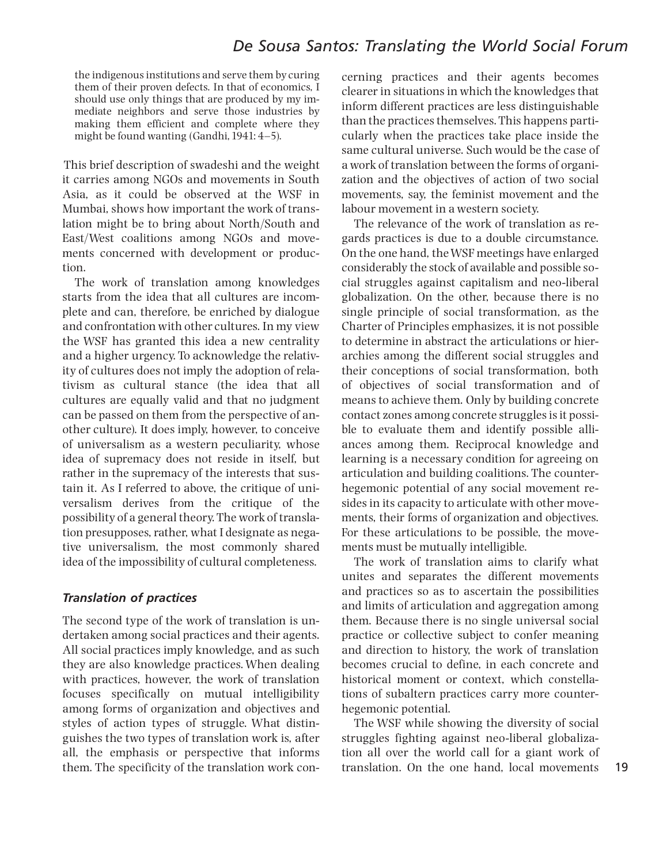### De Sousa Santos: Translating the World Social Forum

the indigenous institutions and serve them by curing them of their proven defects. In that of economics, I should use only things that are produced by my immediate neighbors and serve those industries by making them efficient and complete where they might be found wanting (Gandhi, 1941: 4-5).

This brief description of swadeshi and the weight it carries among NGOs and movements in South Asia, as it could be observed at the WSF in Mumbai, shows how important the work of translation might be to bring about North/South and East/West coalitions among NGOs and movements concerned with development or production.

The work of translation among knowledges starts from the idea that all cultures are incomplete and can, therefore, be enriched by dialogue and confrontation with other cultures. In my view the WSF has granted this idea a new centrality and a higher urgency. To acknowledge the relativity of cultures does not imply the adoption of relativism as cultural stance (the idea that all cultures are equally valid and that no judgment can be passed on them from the perspective of another culture). It does imply, however, to conceive of universalism as a western peculiarity, whose idea of supremacy does not reside in itself, but rather in the supremacy of the interests that sustain it. As I referred to above, the critique of universalism derives from the critique of the possibility of a general theory. The work of translation presupposes, rather, what I designate as negative universalism, the most commonly shared idea of the impossibility of cultural completeness.

#### Translation of practices

The second type of the work of translation is undertaken among social practices and their agents. All social practices imply knowledge, and as such they are also knowledge practices.When dealing with practices, however, the work of translation focuses specifically on mutual intelligibility among forms of organization and objectives and styles of action types of struggle. What distinguishes the two types of translation work is, after all, the emphasis or perspective that informs them. The specificity of the translation work con-

cerning practices and their agents becomes clearer in situations in which the knowledges that inform different practices are less distinguishable than the practices themselves. This happens particularly when the practices take place inside the same cultural universe. Such would be the case of a work of translation between the forms of organization and the objectives of action of two social movements, say, the feminist movement and the labour movement in a western society.

The relevance of the work of translation as regards practices is due to a double circumstance. On the one hand, theWSF meetings have enlarged considerably the stock of available and possible social struggles against capitalism and neo-liberal globalization. On the other, because there is no single principle of social transformation, as the Charter of Principles emphasizes, it is not possible to determine in abstract the articulations or hierarchies among the different social struggles and their conceptions of social transformation, both of objectives of social transformation and of means to achieve them. Only by building concrete contact zones among concrete struggles is it possible to evaluate them and identify possible alliances among them. Reciprocal knowledge and learning is a necessary condition for agreeing on articulation and building coalitions. The counterhegemonic potential of any social movement resides in its capacity to articulate with other movements, their forms of organization and objectives. For these articulations to be possible, the movements must be mutually intelligible.

The work of translation aims to clarify what unites and separates the different movements and practices so as to ascertain the possibilities and limits of articulation and aggregation among them. Because there is no single universal social practice or collective subject to confer meaning and direction to history, the work of translation becomes crucial to define, in each concrete and historical moment or context, which constellations of subaltern practices carry more counterhegemonic potential.

The WSF while showing the diversity of social struggles fighting against neo-liberal globalization all over the world call for a giant work of translation. On the one hand, local movements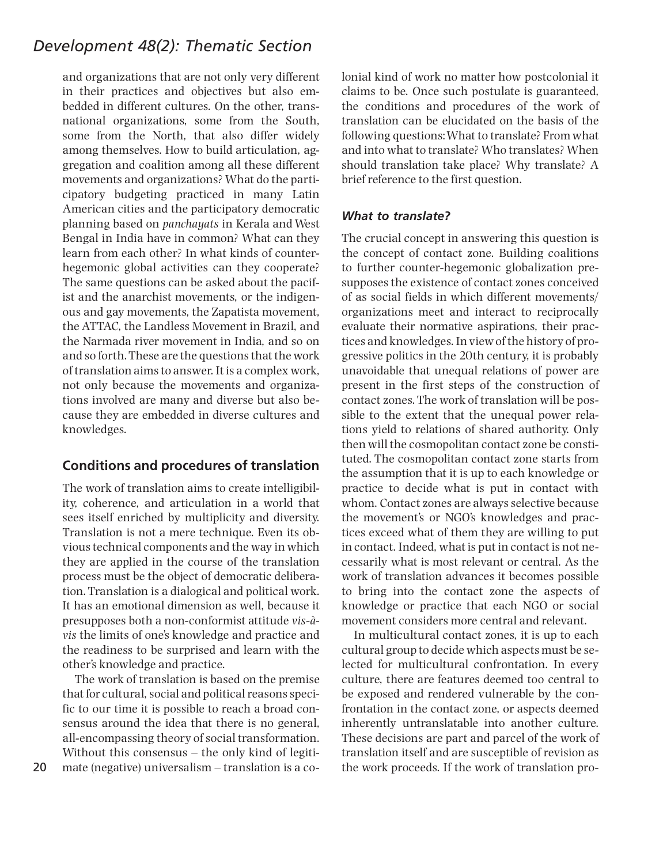and organizations that are not only very different in their practices and objectives but also embedded in different cultures. On the other, transnational organizations, some from the South, some from the North, that also differ widely among themselves. How to build articulation, aggregation and coalition among all these different movements and organizations? What do the participatory budgeting practiced in many Latin American cities and the participatory democratic planning based on panchayats in Kerala and West Bengal in India have in common? What can they learn from each other? In what kinds of counterhegemonic global activities can they cooperate? The same questions can be asked about the pacifist and the anarchist movements, or the indigenous and gay movements, the Zapatista movement, the ATTAC, the Landless Movement in Brazil, and the Narmada river movement in India, and so on and so forth.These are the questions that the work of translation aims to answer. It is a complex work, not only because the movements and organizations involved are many and diverse but also because they are embedded in diverse cultures and knowledges.

### Conditions and procedures of translation

The work of translation aims to create intelligibility, coherence, and articulation in a world that sees itself enriched by multiplicity and diversity. Translation is not a mere technique. Even its obvious technical components and the way in which they are applied in the course of the translation process must be the object of democratic deliberation. Translation is a dialogical and political work. It has an emotional dimension as well, because it presupposes both a non-conformist attitude vis-àvis the limits of one's knowledge and practice and the readiness to be surprised and learn with the other's knowledge and practice.

The work of translation is based on the premise that for cultural, social and political reasons specific to our time it is possible to reach a broad consensus around the idea that there is no general, all-encompassing theory of social transformation. Without this consensus  $-$  the only kind of legitimate (negative) universalism – translation is a colonial kind of work no matter how postcolonial it claims to be. Once such postulate is guaranteed, the conditions and procedures of the work of translation can be elucidated on the basis of the following questions:What to translate? From what and into what to translate? Who translates? When should translation take place? Why translate? A brief reference to the first question.

#### What to translate?

The crucial concept in answering this question is the concept of contact zone. Building coalitions to further counter-hegemonic globalization presupposes the existence of contact zones conceived of as social fields in which different movements/ organizations meet and interact to reciprocally evaluate their normative aspirations, their practices and knowledges. In view of the history of progressive politics in the 20th century, it is probably unavoidable that unequal relations of power are present in the first steps of the construction of contact zones. The work of translation will be possible to the extent that the unequal power relations yield to relations of shared authority. Only then will the cosmopolitan contact zone be constituted. The cosmopolitan contact zone starts from the assumption that it is up to each knowledge or practice to decide what is put in contact with whom. Contact zones are always selective because the movement's or NGO's knowledges and practices exceed what of them they are willing to put in contact. Indeed, what is put in contact is not necessarily what is most relevant or central. As the work of translation advances it becomes possible to bring into the contact zone the aspects of knowledge or practice that each NGO or social movement considers more central and relevant.

In multicultural contact zones, it is up to each cultural group to decide which aspects must be selected for multicultural confrontation. In every culture, there are features deemed too central to be exposed and rendered vulnerable by the confrontation in the contact zone, or aspects deemed inherently untranslatable into another culture. These decisions are part and parcel of the work of translation itself and are susceptible of revision as the work proceeds. If the work of translation pro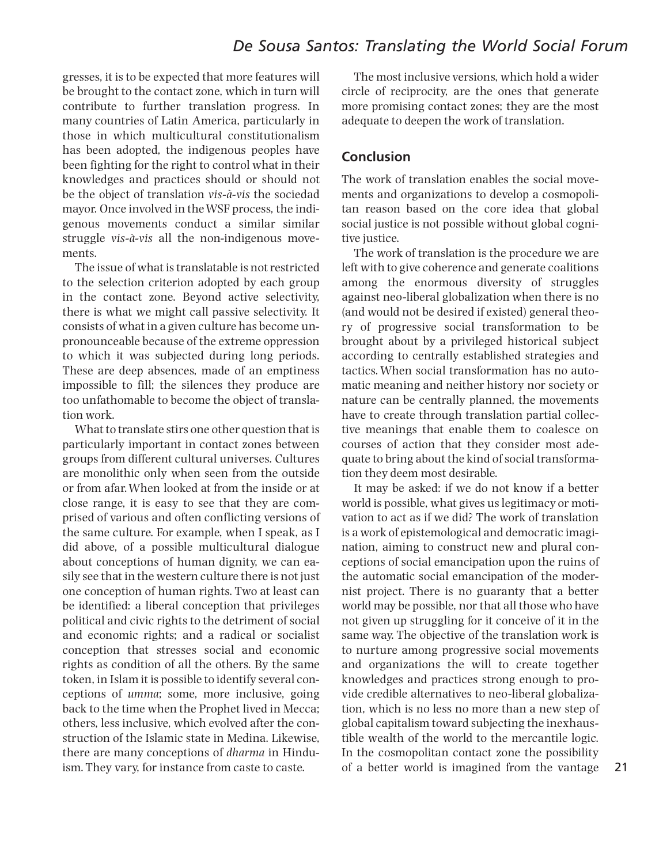gresses, it is to be expected that more features will be brought to the contact zone, which in turn will contribute to further translation progress. In many countries of Latin America, particularly in those in which multicultural constitutionalism has been adopted, the indigenous peoples have been fighting for the right to control what in their knowledges and practices should or should not be the object of translation vis-à-vis the sociedad mayor. Once involved in theWSF process, the indigenous movements conduct a similar similar struggle vis-à-vis all the non-indigenous movements.

The issue ofwhat is translatable is not restricted to the selection criterion adopted by each group in the contact zone. Beyond active selectivity, there is what we might call passive selectivity. It consists ofwhat in a given culture has become unpronounceable because of the extreme oppression to which it was subjected during long periods. These are deep absences, made of an emptiness impossible to fill; the silences they produce are too unfathomable to become the object of translation work.

What to translate stirs one other question that is particularly important in contact zones between groups from different cultural universes. Cultures are monolithic only when seen from the outside or from afar.When looked at from the inside or at close range, it is easy to see that they are comprised of various and often conflicting versions of the same culture. For example, when I speak, as I did above, of a possible multicultural dialogue about conceptions of human dignity, we can easily see that in the western culture there is not just one conception of human rights. Two at least can be identified: a liberal conception that privileges political and civic rights to the detriment of social and economic rights; and a radical or socialist conception that stresses social and economic rights as condition of all the others. By the same token, in Islam it is possible to identify several conceptions of umma; some, more inclusive, going back to the time when the Prophet lived in Mecca; others, less inclusive, which evolved after the construction of the Islamic state in Medina. Likewise, there are many conceptions of dharma in Hinduism. They vary, for instance from caste to caste.

The most inclusive versions, which hold a wider circle of reciprocity, are the ones that generate more promising contact zones; they are the most adequate to deepen the work of translation.

#### Conclusion

The work of translation enables the social movements and organizations to develop a cosmopolitan reason based on the core idea that global social justice is not possible without global cognitive justice.

The work of translation is the procedure we are left with to give coherence and generate coalitions among the enormous diversity of struggles against neo-liberal globalization when there is no (and would not be desired if existed) general theory of progressive social transformation to be brought about by a privileged historical subject according to centrally established strategies and tactics.When social transformation has no automatic meaning and neither history nor society or nature can be centrally planned, the movements have to create through translation partial collective meanings that enable them to coalesce on courses of action that they consider most adequate to bring about the kind of social transformation they deem most desirable.

It may be asked: if we do not know if a better world is possible, what gives us legitimacy or motivation to act as if we did? The work of translation is a work of epistemological and democratic imagination, aiming to construct new and plural conceptions of social emancipation upon the ruins of the automatic social emancipation of the modernist project. There is no guaranty that a better world may be possible, nor that all those who have not given up struggling for it conceive of it in the same way. The objective of the translation work is to nurture among progressive social movements and organizations the will to create together knowledges and practices strong enough to provide credible alternatives to neo-liberal globalization, which is no less no more than a new step of global capitalism toward subjecting the inexhaustible wealth of the world to the mercantile logic. In the cosmopolitan contact zone the possibility of a better world is imagined from the vantage